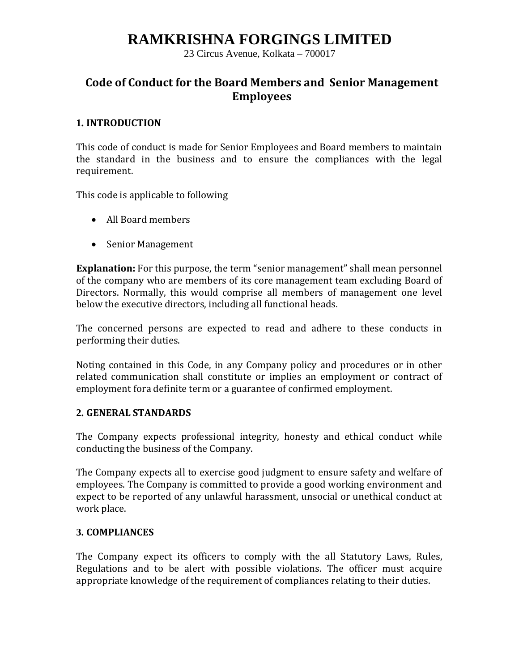23 Circus Avenue, Kolkata – 700017

### **Code of Conduct for the Board Members and Senior Management Employees**

#### **1. INTRODUCTION**

This code of conduct is made for Senior Employees and Board members to maintain the standard in the business and to ensure the compliances with the legal requirement.

This code is applicable to following

- All Board members
- Senior Management

**Explanation:** For this purpose, the term "senior management" shall mean personnel of the company who are members of its core management team excluding Board of Directors. Normally, this would comprise all members of management one level below the executive directors, including all functional heads.

The concerned persons are expected to read and adhere to these conducts in performing their duties.

Noting contained in this Code, in any Company policy and procedures or in other related communication shall constitute or implies an employment or contract of employment fora definite term or a guarantee of confirmed employment.

### **2. GENERAL STANDARDS**

The Company expects professional integrity, honesty and ethical conduct while conducting the business of the Company.

The Company expects all to exercise good judgment to ensure safety and welfare of employees. The Company is committed to provide a good working environment and expect to be reported of any unlawful harassment, unsocial or unethical conduct at work place.

### **3. COMPLIANCES**

The Company expect its officers to comply with the all Statutory Laws, Rules, Regulations and to be alert with possible violations. The officer must acquire appropriate knowledge of the requirement of compliances relating to their duties.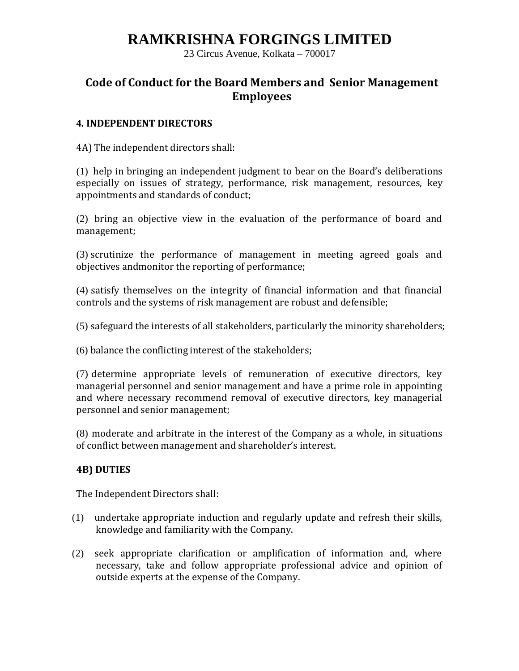23 Circus Avenue, Kolkata – 700017

### **Code of Conduct for the Board Members and Senior Management Employees**

#### **4. INDEPENDENT DIRECTORS**

4A) The independent directors shall:

(1) help in bringing an independent judgment to bear on the Board's deliberations especially on issues of strategy, performance, risk management, resources, key appointments and standards of conduct;

(2) bring an objective view in the evaluation of the performance of board and management;

(3) scrutinize the performance of management in meeting agreed goals and objectives andmonitor the reporting of performance;

(4) satisfy themselves on the integrity of financial information and that financial controls and the systems of risk management are robust and defensible;

(5) safeguard the interests of all stakeholders, particularly the minority shareholders;

(6) balance the conflicting interest of the stakeholders;

(7) determine appropriate levels of remuneration of executive directors, key managerial personnel and senior management and have a prime role in appointing and where necessary recommend removal of executive directors, key managerial personnel and senior management;

(8) moderate and arbitrate in the interest of the Company as a whole, in situations of conflict between management and shareholder's interest.

### **4B) DUTIES**

The Independent Directors shall:

- (1) undertake appropriate induction and regularly update and refresh their skills, knowledge and familiarity with the Company.
- (2) seek appropriate clarification or amplification of information and, where necessary, take and follow appropriate professional advice and opinion of outside experts at the expense of the Company.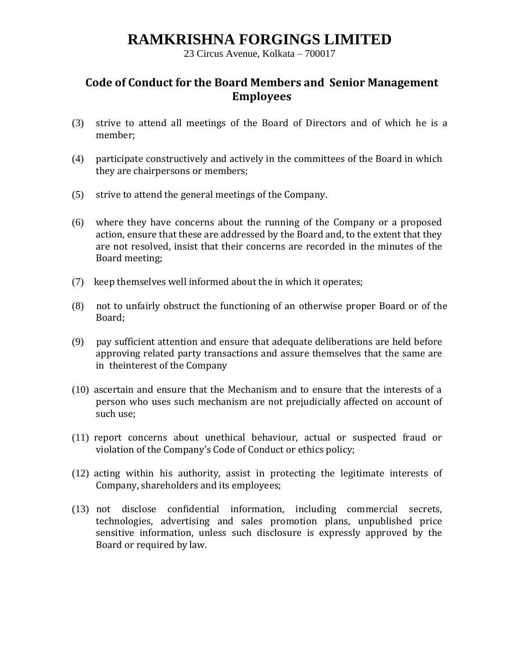23 Circus Avenue, Kolkata – 700017

## **Code of Conduct for the Board Members and Senior Management Employees**

- (3) strive to attend all meetings of the Board of Directors and of which he is a member;
- (4) participate constructively and actively in the committees of the Board in which they are chairpersons or members;
- (5) strive to attend the general meetings of the Company.
- (6) where they have concerns about the running of the Company or a proposed action, ensure that these are addressed by the Board and, to the extent that they are not resolved, insist that their concerns are recorded in the minutes of the Board meeting;
- (7) keep themselves well informed about the in which it operates;
- (8) not to unfairly obstruct the functioning of an otherwise proper Board or of the Board;
- (9) pay sufficient attention and ensure that adequate deliberations are held before approving related party transactions and assure themselves that the same are in theinterest of the Company
- (10) ascertain and ensure that the Mechanism and to ensure that the interests of a person who uses such mechanism are not prejudicially affected on account of such use;
- (11) report concerns about unethical behaviour, actual or suspected fraud or violation of the Company's Code of Conduct or ethics policy;
- (12) acting within his authority, assist in protecting the legitimate interests of Company, shareholders and its employees;
- (13) not disclose confidential information, including commercial secrets, technologies, advertising and sales promotion plans, unpublished price sensitive information, unless such disclosure is expressly approved by the Board or required by law.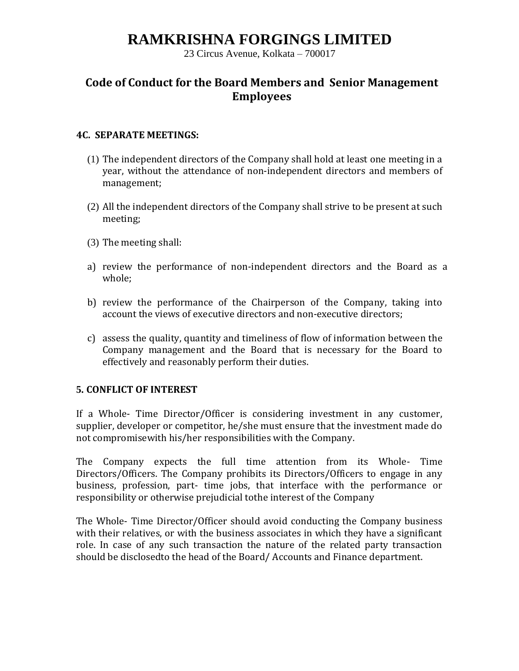23 Circus Avenue, Kolkata – 700017

## **Code of Conduct for the Board Members and Senior Management Employees**

### **4C. SEPARATE MEETINGS:**

- (1) The independent directors of the Company shall hold at least one meeting in a year, without the attendance of non-independent directors and members of management;
- (2) All the independent directors of the Company shall strive to be present at such meeting;
- (3) The meeting shall:
- a) review the performance of non-independent directors and the Board as a whole;
- b) review the performance of the Chairperson of the Company, taking into account the views of executive directors and non-executive directors;
- c) assess the quality, quantity and timeliness of flow of information between the Company management and the Board that is necessary for the Board to effectively and reasonably perform their duties.

### **5. CONFLICT OF INTEREST**

If a Whole- Time Director/Officer is considering investment in any customer, supplier, developer or competitor, he/she must ensure that the investment made do not compromisewith his/her responsibilities with the Company.

The Company expects the full time attention from its Whole- Time Directors/Officers. The Company prohibits its Directors/Officers to engage in any business, profession, part- time jobs, that interface with the performance or responsibility or otherwise prejudicial tothe interest of the Company

The Whole- Time Director/Officer should avoid conducting the Company business with their relatives, or with the business associates in which they have a significant role. In case of any such transaction the nature of the related party transaction should be disclosedto the head of the Board/ Accounts and Finance department.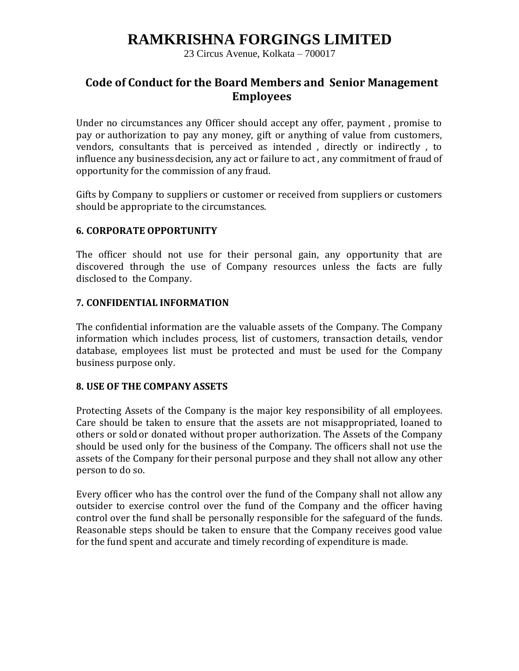23 Circus Avenue, Kolkata – 700017

### **Code of Conduct for the Board Members and Senior Management Employees**

Under no circumstances any Officer should accept any offer, payment , promise to pay or authorization to pay any money, gift or anything of value from customers, vendors, consultants that is perceived as intended , directly or indirectly , to influence any businessdecision, any act or failure to act , any commitment of fraud of opportunity for the commission of any fraud.

Gifts by Company to suppliers or customer or received from suppliers or customers should be appropriate to the circumstances.

### **6. CORPORATE OPPORTUNITY**

The officer should not use for their personal gain, any opportunity that are discovered through the use of Company resources unless the facts are fully disclosed to the Company.

### **7. CONFIDENTIAL INFORMATION**

The confidential information are the valuable assets of the Company. The Company information which includes process, list of customers, transaction details, vendor database, employees list must be protected and must be used for the Company business purpose only.

### **8. USE OF THE COMPANY ASSETS**

Protecting Assets of the Company is the major key responsibility of all employees. Care should be taken to ensure that the assets are not misappropriated, loaned to others or sold or donated without proper authorization. The Assets of the Company should be used only for the business of the Company. The officers shall not use the assets of the Company for their personal purpose and they shall not allow any other person to do so.

Every officer who has the control over the fund of the Company shall not allow any outsider to exercise control over the fund of the Company and the officer having control over the fund shall be personally responsible for the safeguard of the funds. Reasonable steps should be taken to ensure that the Company receives good value for the fund spent and accurate and timely recording of expenditure is made.